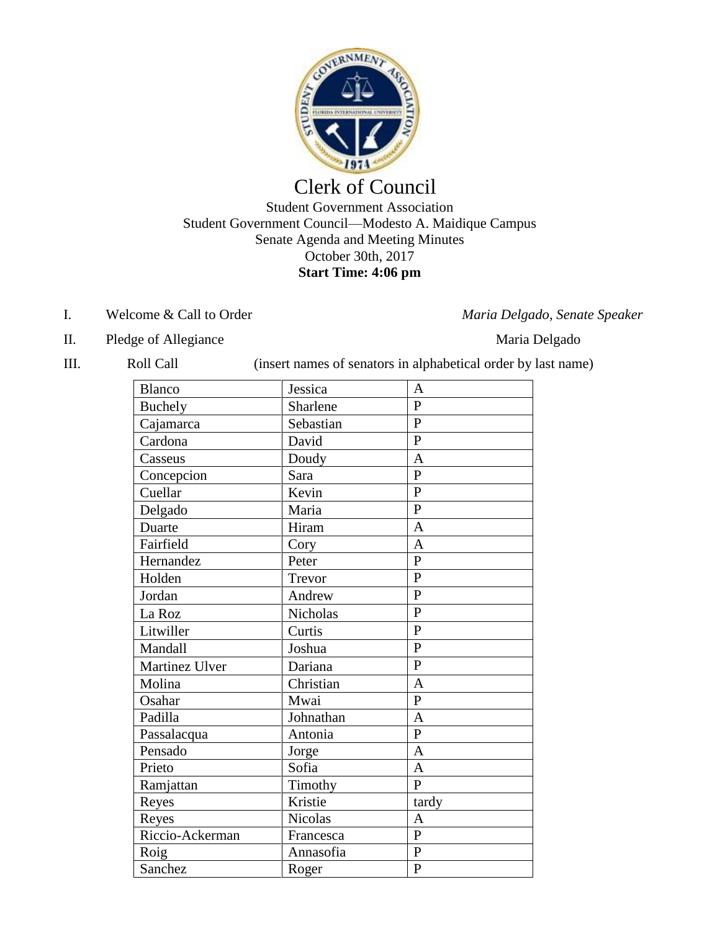

# Clerk of Council

### Student Government Association Student Government Council—Modesto A. Maidique Campus Senate Agenda and Meeting Minutes October 30th, 2017 **Start Time: 4:06 pm**

## I. Welcome & Call to Order *Maria Delgado, Senate Speaker*

- II. Pledge of Allegiance Maria Delgado
- 

III. Roll Call (insert names of senators in alphabetical order by last name)

| <b>Blanco</b>   | Jessica         | A              |
|-----------------|-----------------|----------------|
| <b>Buchely</b>  | Sharlene        | $\mathbf{P}$   |
| Cajamarca       | Sebastian       | $\mathbf{P}$   |
| Cardona         | David           | $\overline{P}$ |
| Casseus         | Doudy           | $\overline{A}$ |
| Concepcion      | Sara            | $\overline{P}$ |
| Cuellar         | Kevin           | $\overline{P}$ |
| Delgado         | Maria           | $\mathbf{P}$   |
| Duarte          | Hiram           | $\overline{A}$ |
| Fairfield       | Cory            | $\mathbf{A}$   |
| Hernandez       | Peter           | $\overline{P}$ |
| Holden          | Trevor          | $\mathbf{P}$   |
| Jordan          | Andrew          | $\mathbf{P}$   |
| La Roz          | <b>Nicholas</b> | $\overline{P}$ |
| Litwiller       | Curtis          | $\mathbf{P}$   |
| Mandall         | Joshua          | $\mathbf{P}$   |
| Martinez Ulver  | Dariana         | $\mathbf{P}$   |
| Molina          | Christian       | $\mathbf{A}$   |
| Osahar          | Mwai            | $\overline{P}$ |
| Padilla         | Johnathan       | $\mathbf{A}$   |
| Passalacqua     | Antonia         | $\mathbf{P}$   |
| Pensado         | Jorge           | $\overline{A}$ |
| Prieto          | Sofia           | $\overline{A}$ |
| Ramjattan       | Timothy         | $\overline{P}$ |
| Reyes           | Kristie         | tardy          |
| Reyes           | Nicolas         | $\overline{A}$ |
| Riccio-Ackerman | Francesca       | $\overline{P}$ |
| Roig            | Annasofia       | $\overline{P}$ |
| Sanchez         | Roger           | $\mathbf P$    |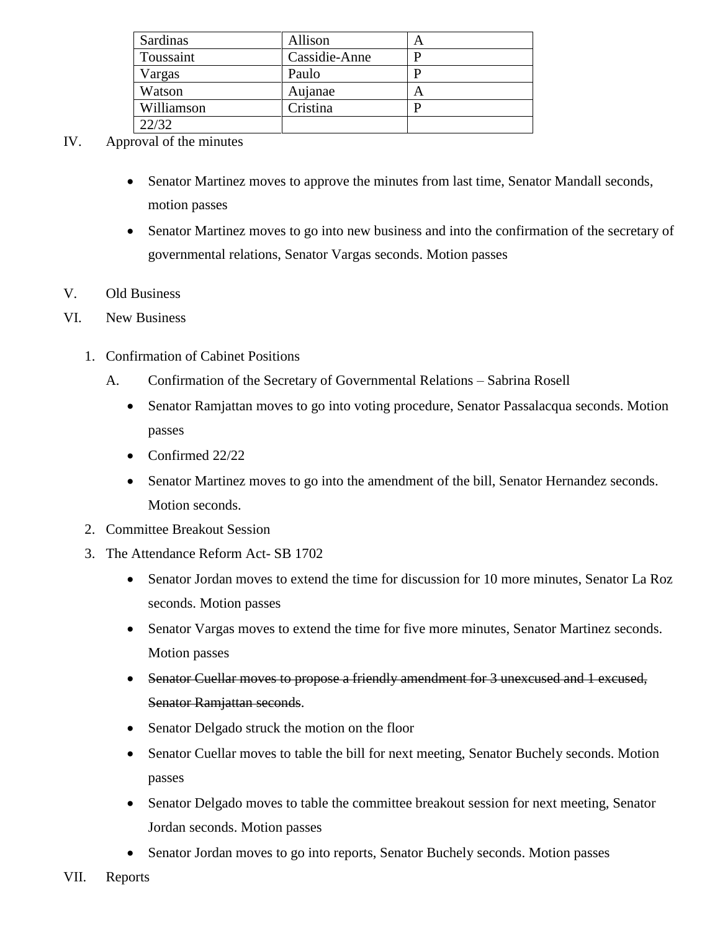| Sardinas   | Allison       |  |
|------------|---------------|--|
| Toussaint  | Cassidie-Anne |  |
| Vargas     | Paulo         |  |
| Watson     | Aujanae       |  |
| Williamson | Cristina      |  |
| 22/32      |               |  |

- IV. Approval of the minutes
	- Senator Martinez moves to approve the minutes from last time, Senator Mandall seconds, motion passes
	- Senator Martinez moves to go into new business and into the confirmation of the secretary of governmental relations, Senator Vargas seconds. Motion passes

#### V. Old Business

- VI. New Business
	- 1. Confirmation of Cabinet Positions
		- A. Confirmation of the Secretary of Governmental Relations Sabrina Rosell
			- Senator Ramjattan moves to go into voting procedure, Senator Passalacqua seconds. Motion passes
			- Confirmed 22/22
			- Senator Martinez moves to go into the amendment of the bill, Senator Hernandez seconds. Motion seconds.
	- 2. Committee Breakout Session
	- 3. The Attendance Reform Act- SB 1702
		- Senator Jordan moves to extend the time for discussion for 10 more minutes, Senator La Roz seconds. Motion passes
		- Senator Vargas moves to extend the time for five more minutes, Senator Martinez seconds. Motion passes
		- Senator Cuellar moves to propose a friendly amendment for 3 unexcused and 1 excused, Senator Ramjattan seconds.
		- Senator Delgado struck the motion on the floor
		- Senator Cuellar moves to table the bill for next meeting, Senator Buchely seconds. Motion passes
		- Senator Delgado moves to table the committee breakout session for next meeting, Senator Jordan seconds. Motion passes
		- Senator Jordan moves to go into reports, Senator Buchely seconds. Motion passes
- VII. Reports